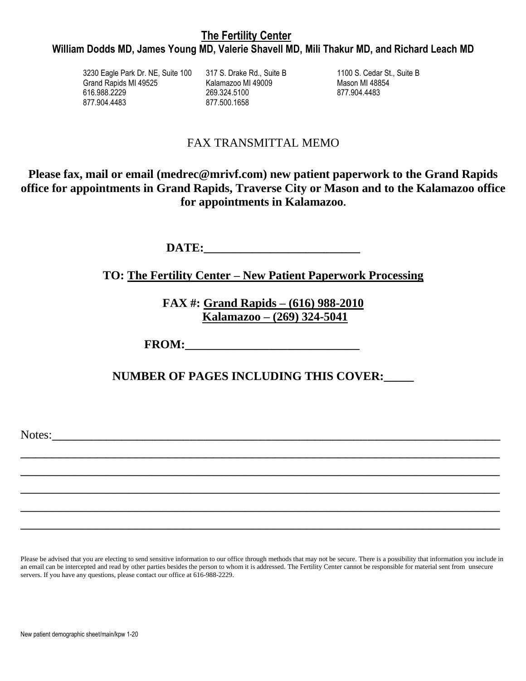# **William Dodds MD, James Young MD, Valerie Shavell MD, Mili Thakur MD, and Richard Leach MD**

3230 Eagle Park Dr. NE, Suite 100 317 S. Drake Rd., Suite B 1100 S. Cedar St., Suite B Grand Rapids MI 49525 616.988.2229 877.904.4483

Kalamazoo MI 49009 269.324.5100 877.500.1658

Mason MI 48854 877.904.4483

# FAX TRANSMITTAL MEMO

**Please fax, mail or email (medrec@mrivf.com) new patient paperwork to the Grand Rapids office for appointments in Grand Rapids, Traverse City or Mason and to the Kalamazoo office for appointments in Kalamazoo.**

DATE:

**TO: The Fertility Center – New Patient Paperwork Processing**

**FAX #: Grand Rapids – (616) 988-2010 Kalamazoo – (269) 324-5041**

FROM:

**NUMBER OF PAGES INCLUDING THIS COVER:\_\_\_\_\_**

\_\_\_\_\_\_\_\_\_\_\_\_\_\_\_\_\_\_\_\_\_\_\_\_\_\_\_\_\_\_\_\_\_\_\_\_\_\_\_\_\_\_\_\_\_\_\_\_\_\_\_\_\_\_\_\_\_\_\_\_\_\_

\_\_\_\_\_\_\_\_\_\_\_\_\_\_\_\_\_\_\_\_\_\_\_\_\_\_\_\_\_\_\_\_\_\_\_\_\_\_\_\_\_\_\_\_\_\_\_\_\_\_\_\_\_\_\_\_\_\_\_\_\_\_

\_\_\_\_\_\_\_\_\_\_\_\_\_\_\_\_\_\_\_\_\_\_\_\_\_\_\_\_\_\_\_\_\_\_\_\_\_\_\_\_\_\_\_\_\_\_\_\_\_\_\_\_\_\_\_\_\_\_\_\_\_\_

\_\_\_\_\_\_\_\_\_\_\_\_\_\_\_\_\_\_\_\_\_\_\_\_\_\_\_\_\_\_\_\_\_\_\_\_\_\_\_\_\_\_\_\_\_\_\_\_\_\_\_\_\_\_\_\_\_\_\_\_\_\_

\_\_\_\_\_\_\_\_\_\_\_\_\_\_\_\_\_\_\_\_\_\_\_\_\_\_\_\_\_\_\_\_\_\_\_\_\_\_\_\_\_\_\_\_\_\_\_\_\_\_\_\_\_\_\_\_\_\_\_\_\_\_

Notes:

Please be advised that you are electing to send sensitive information to our office through methods that may not be secure. There is a possibility that information you include in an email can be intercepted and read by other parties besides the person to whom it is addressed. The Fertility Center cannot be responsible for material sent from unsecure servers. If you have any questions, please contact our office at 616-988-2229.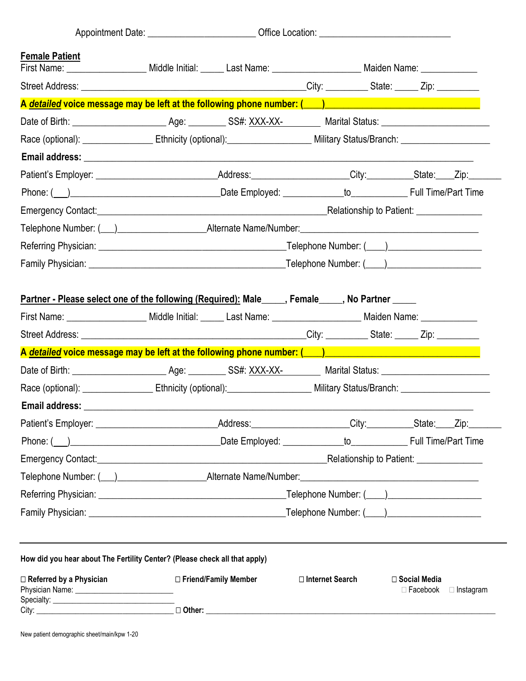| <b>Female Patient</b><br>First Name: ______________________ Middle Initial: ______ Last Name: _______________________ Maiden Name: _____________                                                                                      |  |                        |                   |  |                                           |                  |
|---------------------------------------------------------------------------------------------------------------------------------------------------------------------------------------------------------------------------------------|--|------------------------|-------------------|--|-------------------------------------------|------------------|
|                                                                                                                                                                                                                                       |  |                        |                   |  |                                           |                  |
| A detailed voice message may be left at the following phone number: (Andrew Managem Andrew Managem Andrew Mana                                                                                                                        |  |                        |                   |  |                                           |                  |
|                                                                                                                                                                                                                                       |  |                        |                   |  |                                           |                  |
| Race (optional): ______________________Ethnicity (optional): _________________________Military Status/Branch: ________________________                                                                                                |  |                        |                   |  |                                           |                  |
|                                                                                                                                                                                                                                       |  |                        |                   |  |                                           |                  |
| Patient's Employer: _________________________________Address:___________________City:____________State:____Zip:_______                                                                                                                |  |                        |                   |  |                                           |                  |
|                                                                                                                                                                                                                                       |  |                        |                   |  |                                           |                  |
|                                                                                                                                                                                                                                       |  |                        |                   |  |                                           |                  |
|                                                                                                                                                                                                                                       |  |                        |                   |  |                                           |                  |
|                                                                                                                                                                                                                                       |  |                        |                   |  |                                           |                  |
|                                                                                                                                                                                                                                       |  |                        |                   |  |                                           |                  |
| <u>Partner - Please select one of the following (Required):</u> Male_____, Female____, No Partner _____<br>First Name: _______________________ Middle Initial: ______ Last Name: ________________________ Maiden Name: ______________ |  |                        |                   |  |                                           |                  |
|                                                                                                                                                                                                                                       |  |                        |                   |  |                                           |                  |
|                                                                                                                                                                                                                                       |  |                        |                   |  |                                           |                  |
| Race (optional): ______________________Ethnicity (optional): _________________________Military Status/Branch: ________________________                                                                                                |  |                        |                   |  |                                           |                  |
|                                                                                                                                                                                                                                       |  |                        |                   |  |                                           |                  |
| Patient's Employer: _________________________________Address:___________________City:____________State:____Zip:_______                                                                                                                |  |                        |                   |  |                                           |                  |
| Phone: (iii) 2011 Contract Contract Contract Contract Contract Contract Contract Contract Contract Contract Contract Contract Contract Contract Contract Contract Contract Contract Contract Contract Contract Contract Contra        |  |                        |                   |  |                                           |                  |
|                                                                                                                                                                                                                                       |  |                        |                   |  |                                           |                  |
|                                                                                                                                                                                                                                       |  |                        |                   |  |                                           |                  |
|                                                                                                                                                                                                                                       |  |                        |                   |  |                                           |                  |
|                                                                                                                                                                                                                                       |  |                        |                   |  |                                           |                  |
|                                                                                                                                                                                                                                       |  |                        |                   |  |                                           |                  |
| How did you hear about The Fertility Center? (Please check all that apply)                                                                                                                                                            |  |                        |                   |  |                                           |                  |
| $\Box$ Referred by a Physician                                                                                                                                                                                                        |  | □ Friend/Family Member | □ Internet Search |  | $\square$ Social Media<br>$\Box$ Facebook | $\Box$ Instagram |
|                                                                                                                                                                                                                                       |  |                        |                   |  |                                           |                  |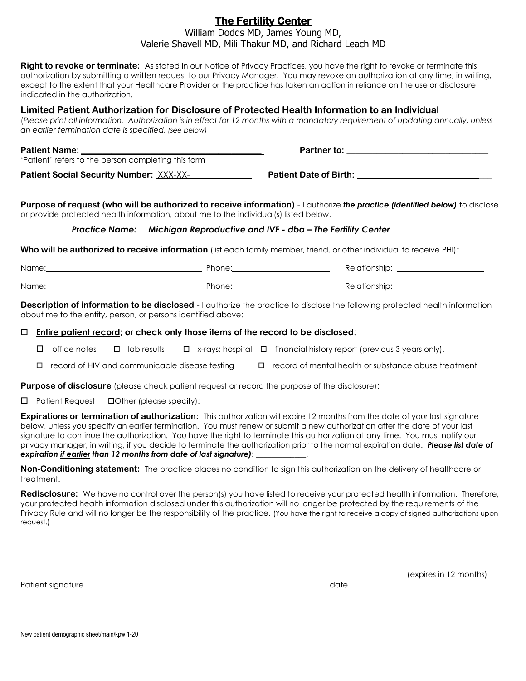### **The Fertility Center** William Dodds MD, James Young MD, Valerie Shavell MD, Mili Thakur MD, and Richard Leach MD

**Right to revoke or terminate:** As stated in our Notice of Privacy Practices, you have the right to revoke or terminate this authorization by submitting a written request to our Privacy Manager. You may revoke an authorization at any time, in writing, except to the extent that your Healthcare Provider or the practice has taken an action in reliance on the use or disclosure indicated in the authorization.

#### **Limited Patient Authorization for Disclosure of Protected Health Information to an Individual**

(*Please print all information. Authorization is in effect for 12 months with a mandatory requirement of updating annually, unless an earlier termination date is specified. (see below)*

| <b>Patient Name:</b>                                | <b>Partner to:</b>            |  |
|-----------------------------------------------------|-------------------------------|--|
| 'Patient' refers to the person completing this form |                               |  |
| <b>Patient Social Security Number: XXX-XX-</b>      | <b>Patient Date of Birth:</b> |  |

**Purpose of request (who will be authorized to receive information)** - I authorize *the practice (identified below)* to disclose or provide protected health information, about me to the individual(s) listed below.

#### *Practice Name: Michigan Reproductive and IVF - dba – The Fertility Center*

**Who will be authorized to receive information** (list each family member, friend, or other individual to receive PHI)**:**

| Name: | Phone: | Relationship: |
|-------|--------|---------------|
| Name: | Phone: | Relationship: |

**Description of information to be disclosed** - I authorize the practice to disclose the following protected health information about me to the entity, person, or persons identified above:

#### **Entire patient record; or check only those items of the record to be disclosed**:

 $\Box$  office notes  $\Box$  lab results  $\Box$  x-rays; hospital  $\Box$  financial history report (previous 3 years only).

 $\Box$  record of HIV and communicable disease testing  $\Box$  record of mental health or substance abuse treatment

**Purpose of disclosure** (please check patient request or record the purpose of the disclosure):

 $\Box$  Patient Request  $\Box$  Other (please specify):

**Expirations or termination of authorization:** This authorization will expire 12 months from the date of your last signature below, unless you specify an earlier termination. You must renew or submit a new authorization after the date of your last signature to continue the authorization. You have the right to terminate this authorization at any time. You must notify our privacy manager, in writing, if you decide to terminate the authorization prior to the normal expiration date. *Please list date of expiration if earlier than 12 months from date of last signature)*: \_\_\_\_\_\_\_\_\_\_\_\_\_.

**Non-Conditioning statement:** The practice places no condition to sign this authorization on the delivery of healthcare or treatment.

**Redisclosure:** We have no control over the person(s) you have listed to receive your protected health information. Therefore, your protected health information disclosed under this authorization will no longer be protected by the requirements of the Privacy Rule and will no longer be the responsibility of the practice. (You have the right to receive a copy of signed authorizations upon request.)

Patient signature date and the contract of the contract of the contract of the contract of the contract of the contract of the contract of the contract of the contract of the contract of the contract of the contract of the

(expires in 12 months)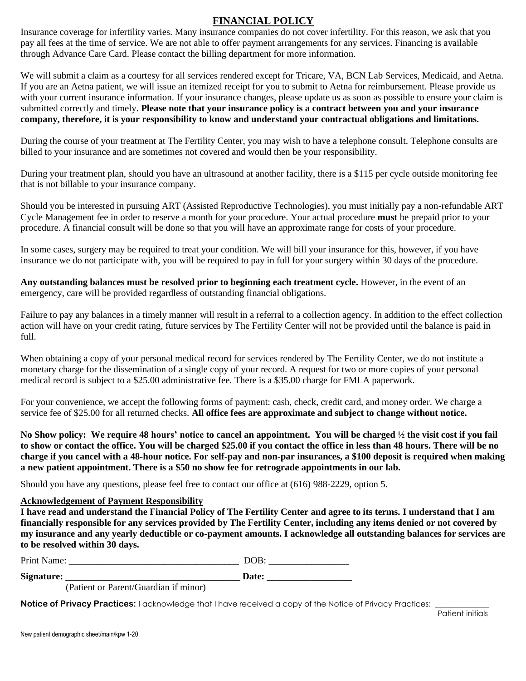## **FINANCIAL POLICY**

Insurance coverage for infertility varies. Many insurance companies do not cover infertility. For this reason, we ask that you pay all fees at the time of service. We are not able to offer payment arrangements for any services. Financing is available through Advance Care Card. Please contact the billing department for more information.

We will submit a claim as a courtesy for all services rendered except for Tricare, VA, BCN Lab Services, Medicaid, and Aetna. If you are an Aetna patient, we will issue an itemized receipt for you to submit to Aetna for reimbursement. Please provide us with your current insurance information. If your insurance changes, please update us as soon as possible to ensure your claim is submitted correctly and timely. **Please note that your insurance policy is a contract between you and your insurance company, therefore, it is your responsibility to know and understand your contractual obligations and limitations.**

During the course of your treatment at The Fertility Center, you may wish to have a telephone consult. Telephone consults are billed to your insurance and are sometimes not covered and would then be your responsibility.

During your treatment plan, should you have an ultrasound at another facility, there is a \$115 per cycle outside monitoring fee that is not billable to your insurance company.

Should you be interested in pursuing ART (Assisted Reproductive Technologies), you must initially pay a non-refundable ART Cycle Management fee in order to reserve a month for your procedure. Your actual procedure **must** be prepaid prior to your procedure. A financial consult will be done so that you will have an approximate range for costs of your procedure.

In some cases, surgery may be required to treat your condition. We will bill your insurance for this, however, if you have insurance we do not participate with, you will be required to pay in full for your surgery within 30 days of the procedure.

**Any outstanding balances must be resolved prior to beginning each treatment cycle.** However, in the event of an emergency, care will be provided regardless of outstanding financial obligations.

Failure to pay any balances in a timely manner will result in a referral to a collection agency. In addition to the effect collection action will have on your credit rating, future services by The Fertility Center will not be provided until the balance is paid in full.

When obtaining a copy of your personal medical record for services rendered by The Fertility Center, we do not institute a monetary charge for the dissemination of a single copy of your record. A request for two or more copies of your personal medical record is subject to a \$25.00 administrative fee. There is a \$35.00 charge for FMLA paperwork.

For your convenience, we accept the following forms of payment: cash, check, credit card, and money order. We charge a service fee of \$25.00 for all returned checks. **All office fees are approximate and subject to change without notice.**

**No Show policy: We require 48 hours' notice to cancel an appointment. You will be charged ½ the visit cost if you fail to show or contact the office. You will be charged \$25.00 if you contact the office in less than 48 hours. There will be no charge if you cancel with a 48-hour notice. For self-pay and non-par insurances, a \$100 deposit is required when making a new patient appointment. There is a \$50 no show fee for retrograde appointments in our lab.**

Should you have any questions, please feel free to contact our office at (616) 988-2229, option 5.

#### **Acknowledgement of Payment Responsibility**

**I have read and understand the Financial Policy of The Fertility Center and agree to its terms. I understand that I am financially responsible for any services provided by The Fertility Center, including any items denied or not covered by my insurance and any yearly deductible or co-payment amounts. I acknowledge all outstanding balances for services are to be resolved within 30 days.**

Print Name: \_\_\_\_\_\_\_\_\_\_\_\_\_\_\_\_\_\_\_\_\_\_\_\_\_\_\_\_\_\_\_\_\_\_\_\_ DOB: \_\_\_\_\_\_\_\_\_\_\_\_\_\_\_\_\_

**Signature: \_\_\_\_\_\_\_\_\_\_\_\_\_\_\_\_\_\_\_\_\_\_\_\_\_\_\_\_\_\_\_\_\_\_\_\_\_ Date: \_\_\_\_\_\_\_\_\_\_\_\_\_\_\_\_\_\_** 

(Patient or Parent/Guardian if minor)

**Notice of Privacy Practices:** I acknowledge that I have received a copy of the Notice of Privacy Practices: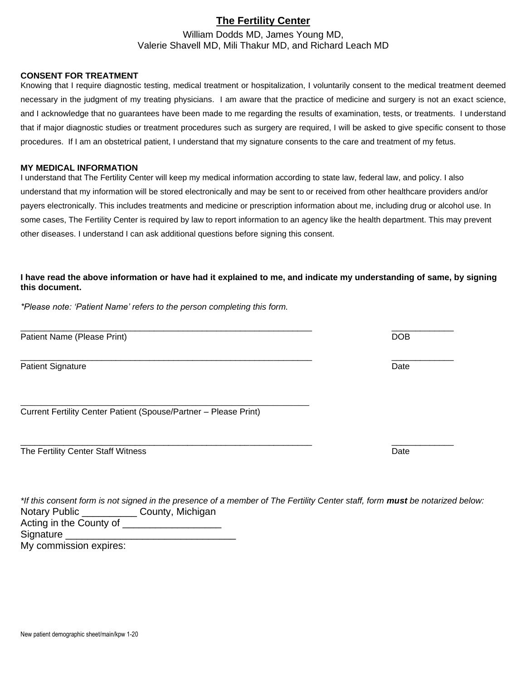## **The Fertility Center**

William Dodds MD, James Young MD, Valerie Shavell MD, Mili Thakur MD, and Richard Leach MD

#### **CONSENT FOR TREATMENT**

Knowing that I require diagnostic testing, medical treatment or hospitalization, I voluntarily consent to the medical treatment deemed necessary in the judgment of my treating physicians. I am aware that the practice of medicine and surgery is not an exact science, and I acknowledge that no guarantees have been made to me regarding the results of examination, tests, or treatments. I understand that if major diagnostic studies or treatment procedures such as surgery are required, I will be asked to give specific consent to those procedures. If I am an obstetrical patient, I understand that my signature consents to the care and treatment of my fetus.

#### **MY MEDICAL INFORMATION**

I understand that The Fertility Center will keep my medical information according to state law, federal law, and policy. I also understand that my information will be stored electronically and may be sent to or received from other healthcare providers and/or payers electronically. This includes treatments and medicine or prescription information about me, including drug or alcohol use. In some cases, The Fertility Center is required by law to report information to an agency like the health department. This may prevent other diseases. I understand I can ask additional questions before signing this consent.

#### **I have read the above information or have had it explained to me, and indicate my understanding of same, by signing this document.**

\_\_\_\_\_\_\_\_\_\_\_\_\_\_\_\_\_\_\_\_\_\_\_\_\_\_\_\_\_\_\_\_\_\_\_\_\_\_\_\_\_\_\_\_\_\_\_\_\_\_\_\_\_\_\_\_\_\_\_\_\_ \_\_\_\_\_\_\_\_\_\_\_\_\_

*\*Please note: 'Patient Name' refers to the person completing this form.*

Patient Name (Please Print) DOB

Patient Signature Date Communication of the Communication of the Communication of the Date Date

Current Fertility Center Patient (Spouse/Partner – Please Print)

\_\_\_\_\_\_\_\_\_\_\_\_\_\_\_\_\_\_\_\_\_\_\_\_\_\_\_\_\_\_\_\_\_\_\_\_\_\_\_\_\_\_\_\_\_\_\_\_\_\_\_\_\_\_\_\_

|  | The Fertility Center Staff Witness | Date |
|--|------------------------------------|------|
|--|------------------------------------|------|

|                                             | *If this consent form is not signed in the presence of a member of The Fertility Center staff, form <b>must</b> be notarized below: |  |
|---------------------------------------------|-------------------------------------------------------------------------------------------------------------------------------------|--|
| Notary Public _____________County, Michigan |                                                                                                                                     |  |
| Acting in the County of                     |                                                                                                                                     |  |
| Signature                                   |                                                                                                                                     |  |
| My commission expires:                      |                                                                                                                                     |  |

\_\_\_\_\_\_\_\_\_\_\_\_\_\_\_\_\_\_\_\_\_\_\_\_\_\_\_\_\_\_\_\_\_\_\_\_\_\_\_\_\_\_\_\_\_\_\_\_\_\_\_\_\_\_\_\_\_\_\_\_\_ \_\_\_\_\_\_\_\_\_\_\_\_\_

\_\_\_\_\_\_\_\_\_\_\_\_\_\_\_\_\_\_\_\_\_\_\_\_\_\_\_\_\_\_\_\_\_\_\_\_\_\_\_\_\_\_\_\_\_\_\_\_\_\_\_\_\_\_\_\_\_\_\_\_\_ \_\_\_\_\_\_\_\_\_\_\_\_\_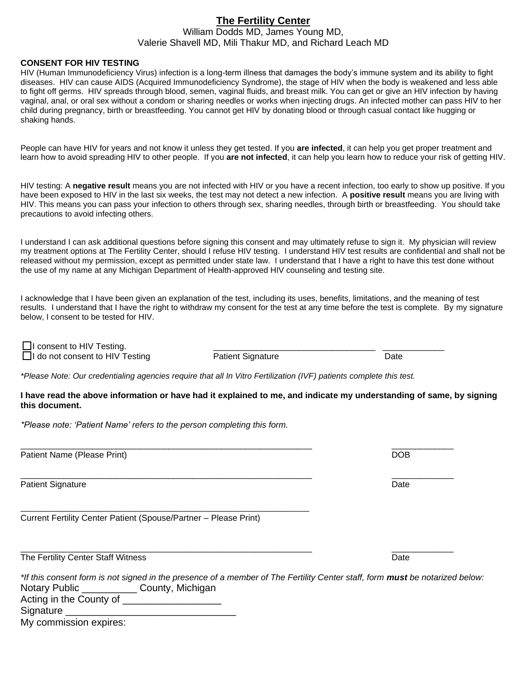#### **The Fertility Center** William Dodds MD, James Young MD, Valerie Shavell MD, Mili Thakur MD, and Richard Leach MD

#### **CONSENT FOR HIV TESTING**

HIV (Human Immunodeficiency Virus) infection is a long-term illness that damages the body's immune system and its ability to fight diseases. HIV can cause AIDS (Acquired Immunodeficiency Syndrome), the stage of HIV when the body is weakened and less able to fight off germs. HIV spreads through blood, semen, vaginal fluids, and breast milk. You can get or give an HIV infection by having vaginal, anal, or oral sex without a condom or sharing needles or works when injecting drugs. An infected mother can pass HIV to her child during pregnancy, birth or breastfeeding. You cannot get HIV by donating blood or through casual contact like hugging or shaking hands.

People can have HIV for years and not know it unless they get tested. If you **are infected**, it can help you get proper treatment and learn how to avoid spreading HIV to other people. If you **are not infected**, it can help you learn how to reduce your risk of getting HIV.

HIV testing: A **negative result** means you are not infected with HIV or you have a recent infection, too early to show up positive. If you have been exposed to HIV in the last six weeks, the test may not detect a new infection. A **positive result** means you are living with HIV. This means you can pass your infection to others through sex, sharing needles, through birth or breastfeeding. You should take precautions to avoid infecting others.

I understand I can ask additional questions before signing this consent and may ultimately refuse to sign it. My physician will review my treatment options at The Fertility Center, should I refuse HIV testing. I understand HIV test results are confidential and shall not be released without my permission, except as permitted under state law. I understand that I have a right to have this test done without the use of my name at any Michigan Department of Health-approved HIV counseling and testing site.

I acknowledge that I have been given an explanation of the test, including its uses, benefits, limitations, and the meaning of test results. I understand that I have the right to withdraw my consent for the test at any time before the test is complete. By my signature below, I consent to be tested for HIV.

□ consent to HIV Testing.<br>□ do not consent to HIV Testing Patient Signature □ do not consent to HIV Testing Patient Signature Patient Signature Date

\_\_\_\_\_\_\_\_\_\_\_\_\_\_\_\_\_\_\_\_\_\_\_\_\_\_\_\_\_\_\_\_\_\_\_\_\_\_\_\_\_\_\_\_\_\_\_\_\_\_\_\_\_\_\_\_\_\_\_\_\_ \_\_\_\_\_\_\_\_\_\_\_\_\_

\_\_\_\_\_\_\_\_\_\_\_\_\_\_\_\_\_\_\_\_\_\_\_\_\_\_\_\_\_\_\_\_\_\_\_\_\_\_\_\_\_\_\_\_\_\_\_\_\_\_\_\_\_\_\_\_\_\_\_\_\_ \_\_\_\_\_\_\_\_\_\_\_\_\_

*\*Please Note: Our credentialing agencies require that all In Vitro Fertilization (IVF) patients complete this test.* 

**I have read the above information or have had it explained to me, and indicate my understanding of same, by signing this document.**

*\*Please note: 'Patient Name' refers to the person completing this form.*

Patient Name (Please Print) **DOB** 

Patient Signature Date **Date of Contract Contract Contract Contract Contract Contract Contract Contract Contract Contract Contract Contract Contract Contract Contract Contract Contract Contract Contract Contract Contract C** 

Current Fertility Center Patient (Spouse/Partner – Please Print)

\_\_\_\_\_\_\_\_\_\_\_\_\_\_\_\_\_\_\_\_\_\_\_\_\_\_\_\_\_\_\_\_\_\_\_\_\_\_\_\_\_\_\_\_\_\_\_\_\_\_\_\_\_\_\_\_

The Fertility Center Staff Witness **Date Accord Contract Contract Contract Contract Contract Contract Contract Contract Contract Contract Contract Contract Contract Contract Contract Contract Contract Contract Contract Con** 

*\*If this consent form is not signed in the presence of a member of The Fertility Center staff, form must be notarized below:*  Notary Public \_\_\_\_\_\_\_\_\_\_\_\_\_\_ County, Michigan Acting in the County of \_\_\_\_\_\_\_\_\_\_\_\_\_\_\_\_\_\_ Signature \_\_\_\_\_\_\_\_\_\_\_\_\_\_\_\_\_\_\_\_\_\_\_\_\_\_\_\_\_\_\_ My commission expires:

\_\_\_\_\_\_\_\_\_\_\_\_\_\_\_\_\_\_\_\_\_\_\_\_\_\_\_\_\_\_\_\_\_\_\_\_\_\_\_\_\_\_\_\_\_\_\_\_\_\_\_\_\_\_\_\_\_\_\_\_\_ \_\_\_\_\_\_\_\_\_\_\_\_\_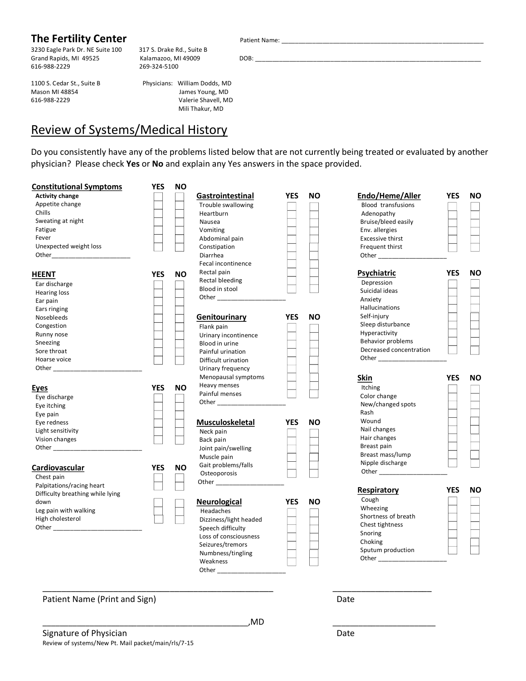## **The Fertility Center** Patient Name: \_\_\_\_\_\_\_\_\_\_\_\_\_\_\_\_\_\_\_\_\_\_\_\_\_\_\_\_\_\_\_\_\_\_\_\_\_\_\_\_\_\_\_\_\_\_\_\_\_\_\_\_\_\_\_\_\_\_\_

3230 Eagle Park Dr. NE Suite 100 317 S. Drake Rd., Suite B Grand Rapids, MI 49525 Kalamazoo, MI 49009 DOB: \_\_\_\_\_\_\_\_\_\_\_\_\_\_\_\_\_\_\_\_\_\_\_\_\_\_\_\_\_\_\_\_\_\_\_\_\_\_\_\_\_\_\_\_\_\_\_\_\_\_\_\_\_\_\_\_\_\_\_\_\_\_\_\_\_\_ 616-988-2229 269-324-5100

1100 S. Cedar St., Suite B Physicians: William Dodds, MD

Mason MI 48854 James Young, MD 616-988-2229 Valerie Shavell, MD Mili Thakur, MD

# Review of Systems/Medical History

Do you consistently have any of the problems listed below that are not currently being treated or evaluated by another physician? Please check **Yes** or **No** and explain any Yes answers in the space provided.

| <b>Constitutional Symptoms</b>   | <b>YES</b> | <b>NO</b> |                        |            |           |                                       |            |           |
|----------------------------------|------------|-----------|------------------------|------------|-----------|---------------------------------------|------------|-----------|
| <b>Activity change</b>           |            |           | Gastrointestinal       | <b>YES</b> | ΝO        | Endo/Heme/Aller                       | <b>YES</b> | <b>NO</b> |
| Appetite change                  |            |           | Trouble swallowing     |            |           | <b>Blood transfusions</b>             |            |           |
| Chills                           |            |           | Heartburn              |            |           | Adenopathy                            |            |           |
| Sweating at night                |            |           | Nausea                 |            |           | Bruise/bleed easily                   |            |           |
| Fatigue                          |            |           | Vomiting               |            |           | Env. allergies                        |            |           |
| Fever                            |            |           | Abdominal pain         |            |           | <b>Excessive thirst</b>               |            |           |
| Unexpected weight loss           |            |           | Constipation           |            |           | Frequent thirst                       |            |           |
|                                  |            |           | Diarrhea               |            |           |                                       |            |           |
|                                  |            |           | Fecal incontinence     |            |           |                                       |            |           |
| <u>HEENT</u>                     | <b>YES</b> | <b>NO</b> | Rectal pain            |            |           | <b>Psychiatric</b>                    | <b>YES</b> | <b>NO</b> |
| Ear discharge                    |            |           | Rectal bleeding        |            |           | Depression                            |            |           |
| <b>Hearing loss</b>              |            |           | Blood in stool         |            |           | Suicidal ideas                        |            |           |
| Ear pain                         |            |           |                        |            |           | Anxiety                               |            |           |
| Ears ringing                     |            |           |                        |            |           | Hallucinations                        |            |           |
| Nosebleeds                       |            |           | Genitourinary          | <b>YES</b> | <b>NO</b> | Self-injury                           |            |           |
| Congestion                       |            |           | Flank pain             |            |           | Sleep disturbance                     |            |           |
| Runny nose                       |            |           | Urinary incontinence   |            |           | Hyperactivity                         |            |           |
| Sneezing                         |            |           | Blood in urine         |            |           | <b>Behavior problems</b>              |            |           |
| Sore throat                      |            |           | Painful urination      |            |           | Decreased concentration               |            |           |
| Hoarse voice                     |            |           | Difficult urination    |            |           |                                       |            |           |
|                                  |            |           | Urinary frequency      |            |           |                                       |            |           |
|                                  |            |           | Menopausal symptoms    |            |           | <b>Skin</b>                           | <b>YES</b> | <b>NO</b> |
|                                  |            |           | Heavy menses           |            |           |                                       |            |           |
| <u>Eyes</u>                      | YES        | <b>NO</b> | Painful menses         |            |           | <b>Itching</b><br>Color change        |            |           |
| Eye discharge                    |            |           | Other _______________  |            |           | New/changed spots                     |            |           |
| Eye itching                      |            |           |                        |            |           |                                       |            |           |
| Eye pain                         |            |           |                        |            |           | Rash                                  |            |           |
| Eye redness                      |            |           | <b>Musculoskeletal</b> | <b>YES</b> | <b>NO</b> | Wound                                 |            |           |
| Light sensitivity                |            |           | Neck pain              |            |           | Nail changes                          |            |           |
| Vision changes                   |            |           | Back pain              |            |           | Hair changes                          |            |           |
|                                  |            |           | Joint pain/swelling    |            |           | Breast pain                           |            |           |
|                                  |            |           | Muscle pain            |            |           | Breast mass/lump                      |            |           |
| <b>Cardiovascular</b>            | YES        | <b>NO</b> | Gait problems/falls    |            |           | Nipple discharge<br>Other ___________ |            |           |
| Chest pain                       |            |           | Osteoporosis           |            |           |                                       |            |           |
| Palpitations/racing heart        |            |           |                        |            |           |                                       |            |           |
| Difficulty breathing while lying |            |           |                        |            |           | Respiratory                           | <b>YES</b> | <b>NO</b> |
| down                             |            |           | <b>Neurological</b>    | <b>YES</b> | <b>NO</b> | Cough                                 |            |           |
| Leg pain with walking            |            |           | Headaches              |            |           | Wheezing                              |            |           |
| High cholesterol                 |            |           | Dizziness/light headed |            |           | Shortness of breath                   |            |           |
|                                  |            |           | Speech difficulty      |            |           | Chest tightness                       |            |           |
|                                  |            |           | Loss of consciousness  |            |           | Snoring                               |            |           |
|                                  |            |           | Seizures/tremors       |            |           | Choking                               |            |           |
|                                  |            |           | Numbness/tingling      |            |           | Sputum production                     |            |           |
|                                  |            |           | Weakness               |            |           | Other                                 |            |           |
|                                  |            |           | Other_                 |            |           |                                       |            |           |
|                                  |            |           |                        |            |           |                                       |            |           |
|                                  |            |           |                        |            |           |                                       |            |           |
| Patient Name (Print and Sign)    |            |           |                        |            |           | Date                                  |            |           |
|                                  |            |           | ,MD                    |            |           |                                       |            |           |
| Signature of Physician           |            |           |                        |            |           | Date                                  |            |           |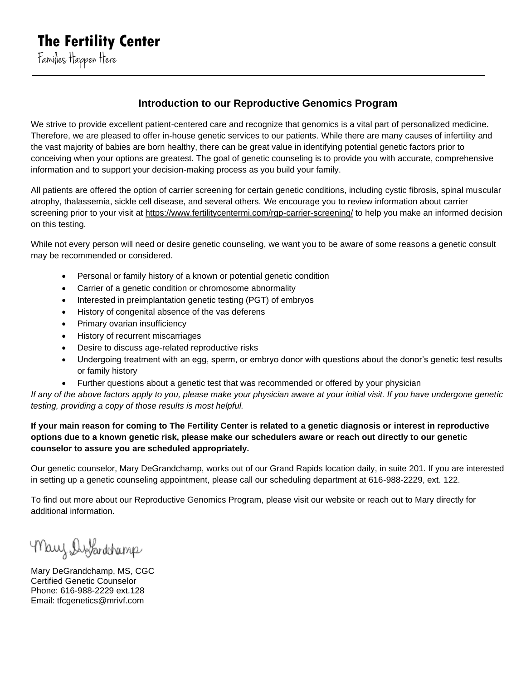## **Introduction to our Reproductive Genomics Program**

We strive to provide excellent patient-centered care and recognize that genomics is a vital part of personalized medicine. Therefore, we are pleased to offer in-house genetic services to our patients. While there are many causes of infertility and the vast majority of babies are born healthy, there can be great value in identifying potential genetic factors prior to conceiving when your options are greatest. The goal of genetic counseling is to provide you with accurate, comprehensive information and to support your decision-making process as you build your family.

All patients are offered the option of carrier screening for certain genetic conditions, including cystic fibrosis, spinal muscular atrophy, thalassemia, sickle cell disease, and several others. We encourage you to review information about carrier screening prior to your visit at<https://www.fertilitycentermi.com/rgp-carrier-screening/> to help you make an informed decision on this testing.

While not every person will need or desire genetic counseling, we want you to be aware of some reasons a genetic consult may be recommended or considered.

- Personal or family history of a known or potential genetic condition
- Carrier of a genetic condition or chromosome abnormality
- Interested in preimplantation genetic testing (PGT) of embryos
- History of congenital absence of the vas deferens
- Primary ovarian insufficiency
- History of recurrent miscarriages
- Desire to discuss age-related reproductive risks
- Undergoing treatment with an egg, sperm, or embryo donor with questions about the donor's genetic test results or family history
- Further questions about a genetic test that was recommended or offered by your physician

*If any of the above factors apply to you, please make your physician aware at your initial visit. If you have undergone genetic testing, providing a copy of those results is most helpful.*

**If your main reason for coming to The Fertility Center is related to a genetic diagnosis or interest in reproductive options due to a known genetic risk, please make our schedulers aware or reach out directly to our genetic counselor to assure you are scheduled appropriately.** 

Our genetic counselor, Mary DeGrandchamp, works out of our Grand Rapids location daily, in suite 201. If you are interested in setting up a genetic counseling appointment, please call our scheduling department at 616-988-2229, ext. 122.

To find out more about our Reproductive Genomics Program, please visit our website or reach out to Mary directly for additional information.

Mary Distandehamp

Mary DeGrandchamp, MS, CGC Certified Genetic Counselor Phone: 616-988-2229 ext.128 Email: tfcgenetics@mrivf.com